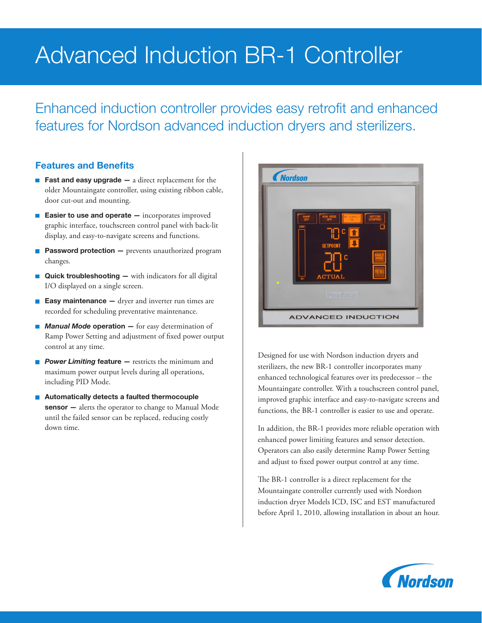# Advanced Induction BR-1 Controller

Enhanced induction controller provides easy retrofit and enhanced features for Nordson advanced induction dryers and sterilizers.

# Features and Benefits

- Fast and easy upgrade  $-$  a direct replacement for the older Mountaingate controller, using existing ribbon cable, door cut-out and mounting.
- **Easier to use and operate**  $-$  incorporates improved graphic interface, touchscreen control panel with back-lit display, and easy-to-navigate screens and functions.
- $\mathbf{r}$ Password protection - prevents unauthorized program changes.
- Ē, Quick troubleshooting — with indicators for all digital I/O displayed on a single screen.
- **Easy maintenance**  $-$  dryer and inverter run times are  $\overline{\phantom{a}}$ recorded for scheduling preventative maintenance.
- *Manual Mode* operation for easy determination of Ramp Power Setting and adjustment of fixed power output control at any time.
- **Power Limiting feature** restricts the minimum and maximum power output levels during all operations, including PID Mode.
- Automatically detects a faulted thermocouple sensor - alerts the operator to change to Manual Mode until the failed sensor can be replaced, reducing costly down time.



Designed for use with Nordson induction dryers and sterilizers, the new BR-1 controller incorporates many enhanced technological features over its predecessor – the Mountaingate controller. With a touchscreen control panel, improved graphic interface and easy-to-navigate screens and functions, the BR-1 controller is easier to use and operate.

In addition, the BR-1 provides more reliable operation with enhanced power limiting features and sensor detection. Operators can also easily determine Ramp Power Setting and adjust to fixed power output control at any time.

The BR-1 controller is a direct replacement for the Mountaingate controller currently used with Nordson induction dryer Models ICD, ISC and EST manufactured before April 1, 2010, allowing installation in about an hour.